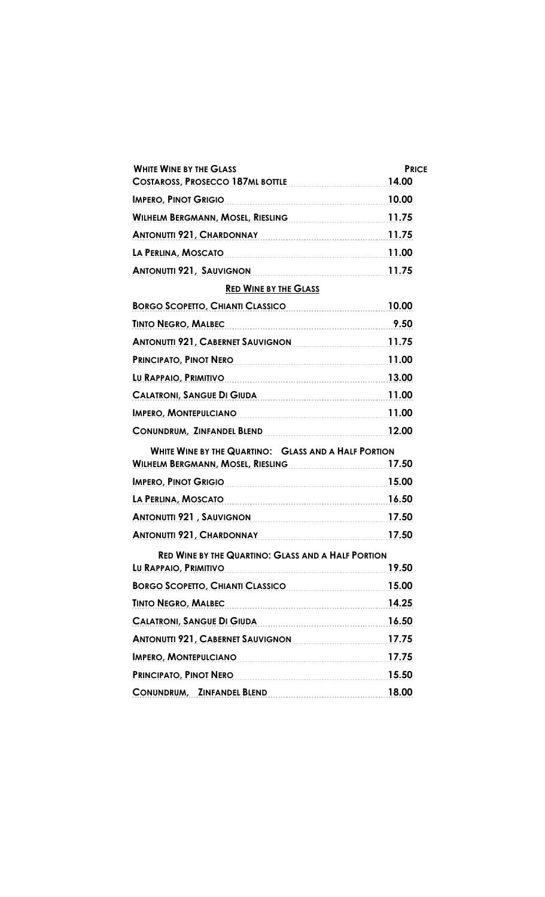| <b>WHITE WINE BY THE GLASS</b><br>COSTAROSS, PROSECCO 187ML BOTTLE                               | <b>PRICE</b><br>14.00 |
|--------------------------------------------------------------------------------------------------|-----------------------|
| <b>IMPERO, PINOT GRIGIO</b>                                                                      | 10.00                 |
| WILHELM BERGMANN, MOSEL, RIESLING                                                                | 11.75                 |
| ANTONUTTI 921, CHARDONNAY 11.75                                                                  |                       |
| LA PERLINA, MOSCATO                                                                              | 11.00                 |
| <b>ANTONUTTI 921, SAUVIGNON</b>                                                                  | 11.75                 |
| <b>RED WINE BY THE GLASS</b>                                                                     |                       |
| BORGO SCOPETTO, CHIANTI CLASSICO                                                                 | 10.00                 |
| <b>TINTO NEGRO, MALBEC</b>                                                                       | 9.50                  |
| <b>ANTONUTTI 921, CABERNET SAUVIGNON</b> 2001 2012 211.75                                        |                       |
| PRINCIPATO, PINOT NERO                                                                           | 11.00                 |
| LU RAPPAIO, PRIMITIVO 13.00                                                                      |                       |
| CALATRONI, SANGUE DI GIUDA 11.00                                                                 |                       |
| IMPERO, MONTEPULCIANO                                                                            | 11.00                 |
| CONUNDRUM, ZINFANDEL BLEND                                                                       | 12.00                 |
| <b>WHITE WINE BY THE QUARTINO: GLASS AND A HALF PORTION</b><br>WILHELM BERGMANN, MOSEL, RIESLING | 17.50                 |
| <u>IMPERO, PINOT GRIGIO</u>                                                                      | 15.00                 |
| LA PERLINA, MOSCATO                                                                              | 16.50                 |
| ANTONUTTI 921, SAUVIGNON                                                                         | 17.50                 |
| ANTONUTTI 921, CHARDONNAY                                                                        | 17.50                 |
| <b>RED WINE BY THE QUARTINO: GLASS AND A HALF PORTION</b><br>LU RAPPAIO, PRIMITIVO               | 19.50                 |
| BORGO SCOPETTO, CHIANTI CLASSICO                                                                 | 15.00                 |
| <b>TINTO NEGRO, MALBEC</b>                                                                       | 14.25                 |
| <b>CALATRONI, SANGUE DI GIUDA</b>                                                                | 16.50                 |
| ANTONUTTI 921, CABERNET SAUVIGNON                                                                | 17.75                 |
| IMPERO, MONTEPULCIANO                                                                            | 17.75                 |
| PRINCIPATO, PINOT NERO                                                                           | 15.50                 |
| CONUNDRUM, ZINFANDEL BLEND                                                                       | 18.00                 |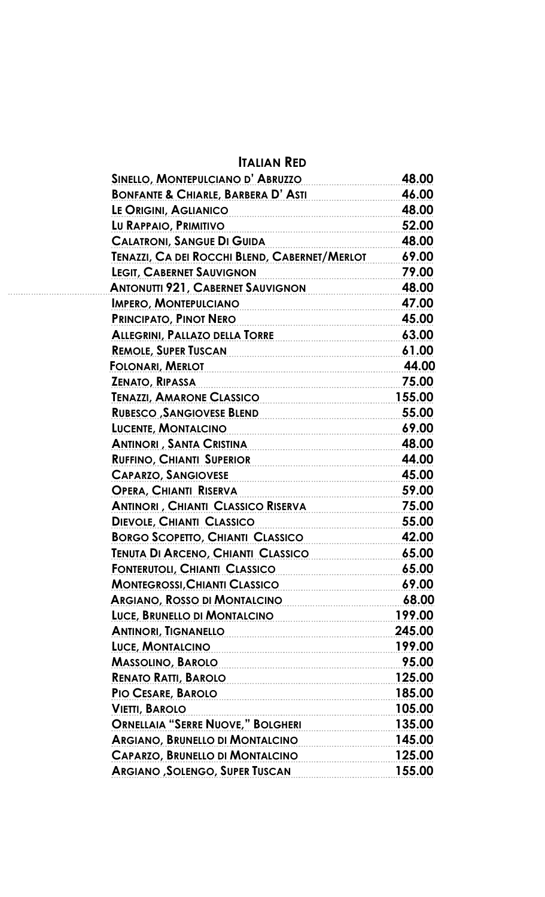## **ITALIAN RED**

 **ANTONUTTI 921, CABERNET SAUVIGNON 48.00**

| SINELLO, MONTEPULCIANO D'ABRUZZO              | 48.00  |
|-----------------------------------------------|--------|
| <b>BONFANTE &amp; CHIARLE, BARBERA D'ASTI</b> | 46.00  |
| LE ORIGINI, AGLIANICO                         | 48.00  |
| LU RAPPAIO, PRIMITIVO                         | 52.00  |
| <b>CALATRONI, SANGUE DI GUIDA</b>             | 48.00  |
| TENAZZI, CA DEI ROCCHI BLEND, CABERNET/MERLOT | 69.00  |
| <b>LEGIT, CABERNET SAUVIGNON</b>              | 79.00  |
| <b>ANTONUTTI 921, CABERNET SAUVIGNON</b>      | 48.00  |
| <b>IMPERO, MONTEPULCIANO</b>                  | 47.00  |
| PRINCIPATO, PINOT NERO                        | 45.00  |
| <b>ALLEGRINI, PALLAZO DELLA TORRE</b>         | 63.00  |
| <b>REMOLE, SUPER TUSCAN</b>                   | 61.00  |
| <b>FOLONARI, MERLOT</b>                       | 44.00  |
| <b>ZENATO, RIPASSA</b>                        | 75.00  |
| <b>TENAZZI, AMARONE CLASSICO</b>              | 155.00 |
| <b>RUBESCO, SANGIOVESE BLEND</b>              | 55.00  |
| <b>LUCENTE, MONTALCINO</b>                    | 69.00  |
| <b>ANTINORI, SANTA CRISTINA</b>               | 48.00  |
| <b>RUFFINO, CHIANTI SUPERIOR</b>              | 44.00  |
| <b>CAPARZO, SANGIOVESE</b>                    | 45.00  |
| <b>OPERA, CHIANTI RISERVA</b>                 | 59.00  |
| <b>ANTINORI, CHIANTI CLASSICO RISERVA</b>     | 75.00  |
| <b>DIEVOLE, CHIANTI CLASSICO</b>              | 55.00  |
| <b>BORGO SCOPETTO, CHIANTI CLASSICO</b>       | 42.00  |
| <b>TENUTA DI ARCENO, CHIANTI CLASSICO</b>     | 65.00  |
| <u>FONTERUTOLI, CHIANTI CLASSICO</u>          | 65.00  |
| MONTEGROSSI, CHIANTI CLASSICO 69.00           |        |
| ARGIANO, ROSSO DI MONTALCINO                  | 68.00  |
| LUCE, BRUNELLO DI MONTALCINO 199.00           |        |
| ANTINORI, TIGNANELLO 245.00                   |        |
| LUCE, MONTALCINO                              | 199.00 |
| MASSOLINO, BAROLO 95.00                       |        |
| <u>RENATO RATTI, BAROLO 125.00</u>            |        |
| PIO CESARE, BAROLO 185.00                     |        |
| <b>VIETTI, BAROLO</b>                         | 105.00 |
| ORNELLAIA "SERRE NUOVE," BOLGHERI 135.00      |        |
| ARGIANO, BRUNELLO DI MONTALCINO 145.00        |        |
| CAPARZO, BRUNELLO DI MONTALCINO               | 125.00 |
| ARGIANO, SOLENGO, SUPER TUSCAN                | 155.00 |
|                                               |        |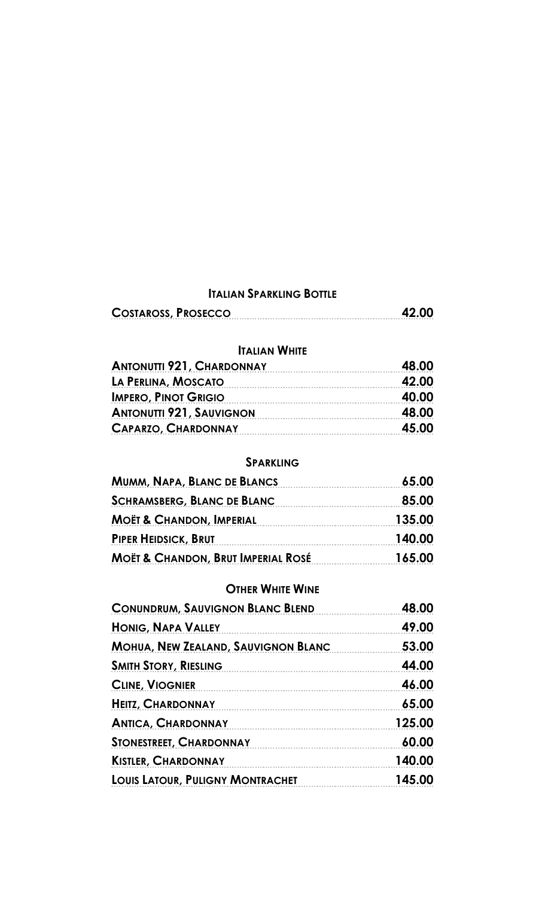### **ITALIAN SPARKLING BOTTLE**

| <b>COSTAROSS, PROSECCO</b> | 42.00 |
|----------------------------|-------|
|                            |       |

#### **ITALIAN WHITE**

| <b>ANTONUTTI 921, CHARDONNAY</b> | 48.00 |
|----------------------------------|-------|
| LA PERLINA, MOSCATO              | 42.00 |
| <b>IMPERO, PINOT GRIGIO</b>      | 40.00 |
| <b>ANTONUTTI 921, SAUVIGNON</b>  | 48.00 |
| <b>CAPARZO, CHARDONNAY</b>       | 45.00 |

#### **SPARKLING**

| MUMM, NAPA, BLANC DE BLANCS                   | 65.00  |
|-----------------------------------------------|--------|
| <b>SCHRAMSBERG, BLANC DE BLANC</b>            | 85.00  |
| <b>MOËT &amp; CHANDON, IMPERIAL</b>           | 135.00 |
| <b>PIPER HEIDSICK, BRUT</b>                   | 140.00 |
| <b>MOËT &amp; CHANDON, BRUT IMPERIAL ROSÉ</b> | 165.00 |

#### **OTHER WHITE WINE**

| <b>CONUNDRUM, SAUVIGNON BLANC BLEND</b>    | 48.00  |
|--------------------------------------------|--------|
| <b>HONIG, NAPA VALLEY</b>                  | 49.00  |
| <b>MOHUA, NEW ZEALAND, SAUVIGNON BLANC</b> | 53.00  |
| <b>SMITH STORY, RIESLING</b>               | 44.00  |
| <b>CLINE, VIOGNIER</b>                     | 46.00  |
| <b>HEITZ, CHARDONNAY</b>                   | 65.00  |
| <b>ANTICA, CHARDONNAY</b>                  | 125.00 |
| <b>STONESTREET, CHARDONNAY</b>             | 60.00  |
| <b>KISTLER, CHARDONNAY</b>                 | 140.00 |
| <b>LOUIS LATOUR, PULIGNY MONTRACHET</b>    | 145.00 |